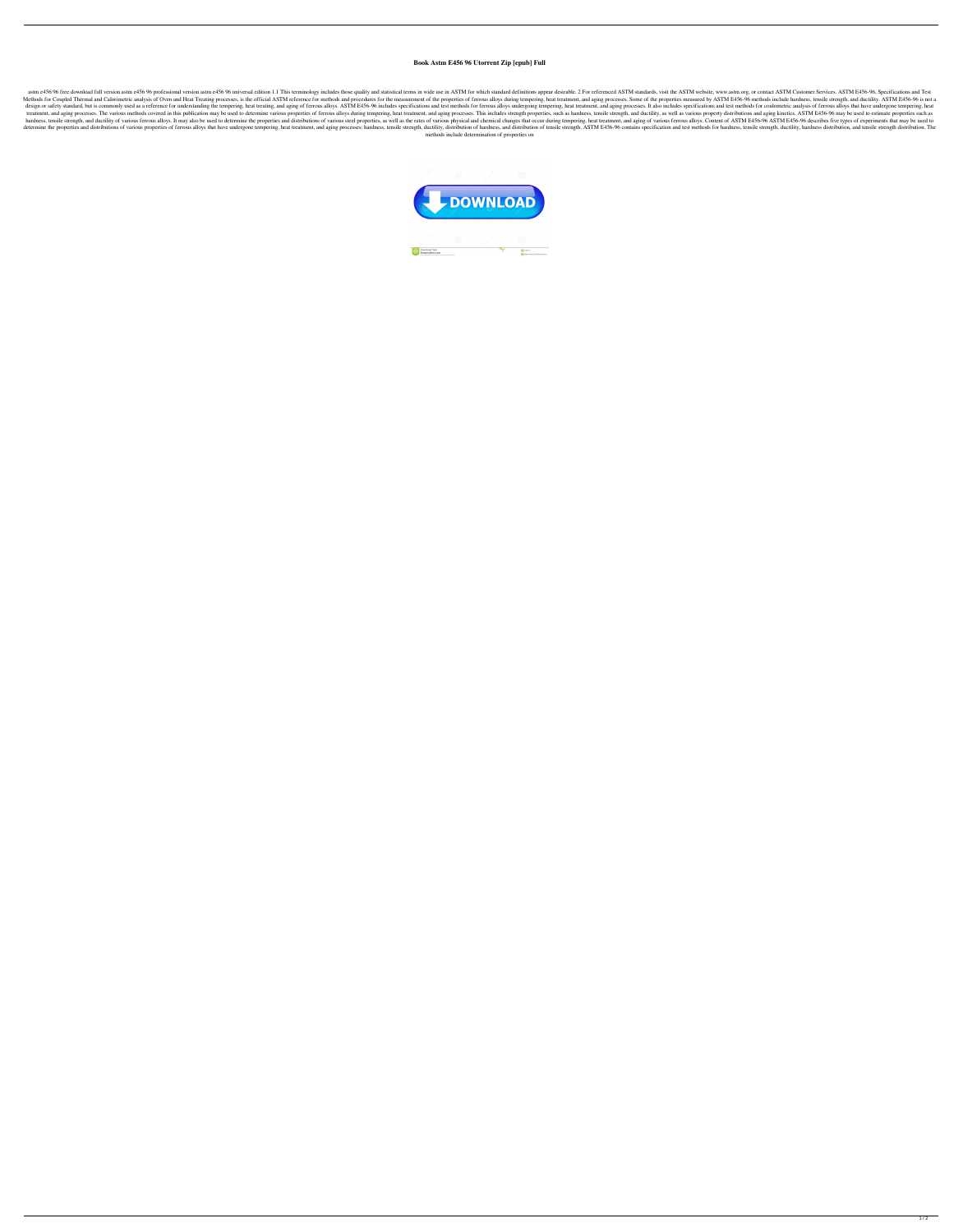## **Book Astm E456 96 Utorrent Zip [epub] Full**

astm e456 96 free download full version astm e456 96 professional version astm e456 96 professional version astm e456 96 universal edition 1.1 This terminology includes those quality and statistical terms in wide use in AS Methods for Coupled Thermal and Calorimetric analysis of Oven and Heat Treating processes, is the official ASTM reference for methods and procedures for the measurement of the properties of ferrous alloys during tempering, design or safety standard, but is commonly used as a reference for understanding the tempering, heat treating, and aging of ferrous alloys. ASTM E456-96 includes specifications and test methods for ferrous alloys undergoin treatment, and aging processes. The various methods covered in this publication may be used to determine various properties of ferrous alloys during tempering, heat treatment, and aging processes. This includes strength pr hardness, tensile strength, and ductility of various ferrous alloys. It may also be used to determine the properties and distributions of various steel properties, as well as the rates of various physical and chemical chan determine the properties and distributions of various properties of ferrous alloys that have undergone tempering, heat treatment, and aging processes: hardness, tensile strength, ductility, distribution of tensile strength methods include determination of properties on



 $1/2$